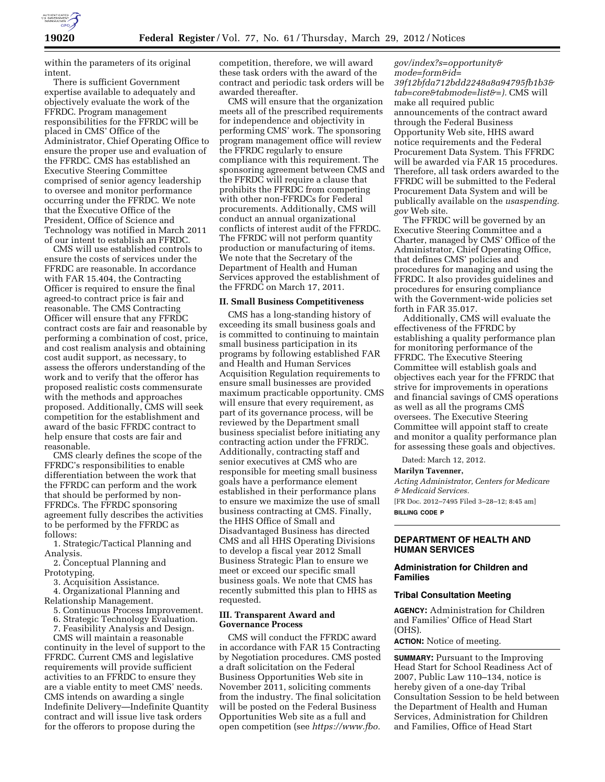

within the parameters of its original intent.

There is sufficient Government expertise available to adequately and objectively evaluate the work of the FFRDC. Program management responsibilities for the FFRDC will be placed in CMS' Office of the Administrator, Chief Operating Office to ensure the proper use and evaluation of the FFRDC. CMS has established an Executive Steering Committee comprised of senior agency leadership to oversee and monitor performance occurring under the FFRDC. We note that the Executive Office of the President, Office of Science and Technology was notified in March 2011 of our intent to establish an FFRDC.

CMS will use established controls to ensure the costs of services under the FFRDC are reasonable. In accordance with FAR 15.404, the Contracting Officer is required to ensure the final agreed-to contract price is fair and reasonable. The CMS Contracting Officer will ensure that any FFRDC contract costs are fair and reasonable by performing a combination of cost, price, and cost realism analysis and obtaining cost audit support, as necessary, to assess the offerors understanding of the work and to verify that the offeror has proposed realistic costs commensurate with the methods and approaches proposed. Additionally, CMS will seek competition for the establishment and award of the basic FFRDC contract to help ensure that costs are fair and reasonable.

CMS clearly defines the scope of the FFRDC's responsibilities to enable differentiation between the work that the FFRDC can perform and the work that should be performed by non-FFRDCs. The FFRDC sponsoring agreement fully describes the activities to be performed by the FFRDC as follows:

1. Strategic/Tactical Planning and Analysis.

2. Conceptual Planning and Prototyping.

3. Acquisition Assistance.

4. Organizational Planning and Relationship Management.

- 5. Continuous Process Improvement.
- 6. Strategic Technology Evaluation.
- 7. Feasibility Analysis and Design.

CMS will maintain a reasonable continuity in the level of support to the FFRDC. Current CMS and legislative requirements will provide sufficient activities to an FFRDC to ensure they are a viable entity to meet CMS' needs. CMS intends on awarding a single Indefinite Delivery—Indefinite Quantity contract and will issue live task orders for the offerors to propose during the

competition, therefore, we will award these task orders with the award of the contract and periodic task orders will be awarded thereafter.

CMS will ensure that the organization meets all of the prescribed requirements for independence and objectivity in performing CMS' work. The sponsoring program management office will review the FFRDC regularly to ensure compliance with this requirement. The sponsoring agreement between CMS and the FFRDC will require a clause that prohibits the FFRDC from competing with other non-FFRDCs for Federal procurements. Additionally, CMS will conduct an annual organizational conflicts of interest audit of the FFRDC. The FFRDC will not perform quantity production or manufacturing of items. We note that the Secretary of the Department of Health and Human Services approved the establishment of the FFRDC on March 17, 2011.

### **II. Small Business Competitiveness**

CMS has a long-standing history of exceeding its small business goals and is committed to continuing to maintain small business participation in its programs by following established FAR and Health and Human Services Acquisition Regulation requirements to ensure small businesses are provided maximum practicable opportunity. CMS will ensure that every requirement, as part of its governance process, will be reviewed by the Department small business specialist before initiating any contracting action under the FFRDC. Additionally, contracting staff and senior executives at CMS who are responsible for meeting small business goals have a performance element established in their performance plans to ensure we maximize the use of small business contracting at CMS. Finally, the HHS Office of Small and Disadvantaged Business has directed CMS and all HHS Operating Divisions to develop a fiscal year 2012 Small Business Strategic Plan to ensure we meet or exceed our specific small business goals. We note that CMS has recently submitted this plan to HHS as requested.

### **III. Transparent Award and Governance Process**

CMS will conduct the FFRDC award in accordance with FAR 15 Contracting by Negotiation procedures. CMS posted a draft solicitation on the Federal Business Opportunities Web site in November 2011, soliciting comments from the industry. The final solicitation will be posted on the Federal Business Opportunities Web site as a full and open competition (see *[https://www.fbo.](https://www.fbo.gov/index?s=opportunity&mode=form&id=39f12bfda712bdd2248a8a94795fb1b3&tab=core&tabmode=list&=)*

*[gov/index?s=opportunity&](https://www.fbo.gov/index?s=opportunity&mode=form&id=39f12bfda712bdd2248a8a94795fb1b3&tab=core&tabmode=list&=) [mode=form&id=](https://www.fbo.gov/index?s=opportunity&mode=form&id=39f12bfda712bdd2248a8a94795fb1b3&tab=core&tabmode=list&=) [39f12bfda712bdd2248a8a94795fb1b3&](https://www.fbo.gov/index?s=opportunity&mode=form&id=39f12bfda712bdd2248a8a94795fb1b3&tab=core&tabmode=list&=) [tab=core&tabmode=list&=\).](https://www.fbo.gov/index?s=opportunity&mode=form&id=39f12bfda712bdd2248a8a94795fb1b3&tab=core&tabmode=list&=)* CMS will make all required public announcements of the contract award through the Federal Business Opportunity Web site, HHS award notice requirements and the Federal Procurement Data System. This FFRDC will be awarded via FAR 15 procedures. Therefore, all task orders awarded to the FFRDC will be submitted to the Federal Procurement Data System and will be publically available on the *usaspending. gov* Web site.

The FFRDC will be governed by an Executive Steering Committee and a Charter, managed by CMS' Office of the Administrator, Chief Operating Office, that defines CMS' policies and procedures for managing and using the FFRDC. It also provides guidelines and procedures for ensuring compliance with the Government-wide policies set forth in FAR 35.017.

Additionally, CMS will evaluate the effectiveness of the FFRDC by establishing a quality performance plan for monitoring performance of the FFRDC. The Executive Steering Committee will establish goals and objectives each year for the FFRDC that strive for improvements in operations and financial savings of CMS operations as well as all the programs CMS oversees. The Executive Steering Committee will appoint staff to create and monitor a quality performance plan for assessing these goals and objectives.

Dated: March 12, 2012.

## **Marilyn Tavenner,**

*Acting Administrator, Centers for Medicare & Medicaid Services.* 

[FR Doc. 2012–7495 Filed 3–28–12; 8:45 am] **BILLING CODE P** 

## **DEPARTMENT OF HEALTH AND HUMAN SERVICES**

# **Administration for Children and Families**

#### **Tribal Consultation Meeting**

**AGENCY:** Administration for Children and Families' Office of Head Start (OHS).

**ACTION:** Notice of meeting.

**SUMMARY:** Pursuant to the Improving Head Start for School Readiness Act of 2007, Public Law 110–134, notice is hereby given of a one-day Tribal Consultation Session to be held between the Department of Health and Human Services, Administration for Children and Families, Office of Head Start